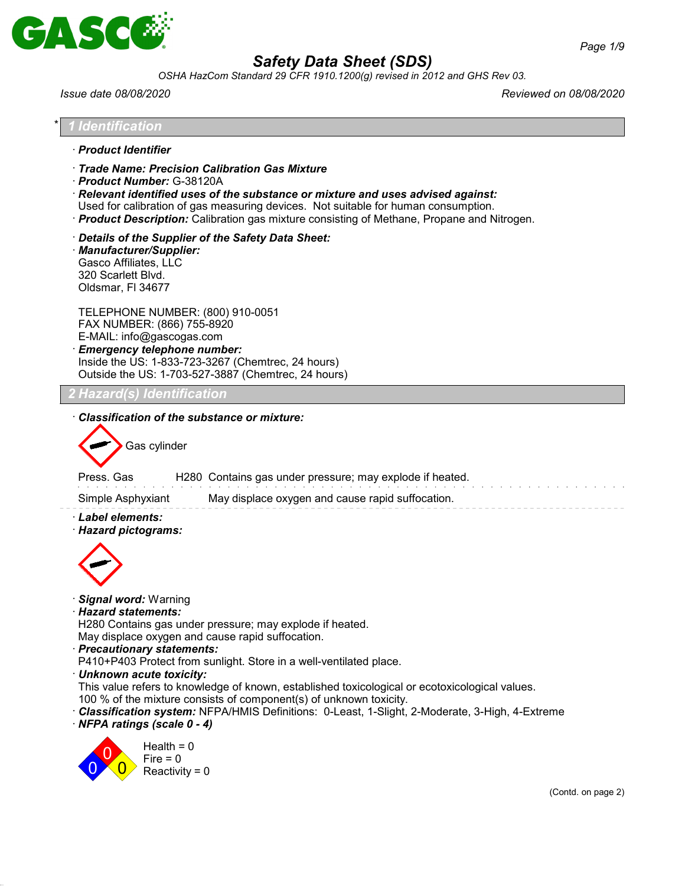

*OSHA HazCom Standard 29 CFR 1910.1200(g) revised in 2012 and GHS Rev 03.*

*Issue date 08/08/2020 Reviewed on 08/08/2020*

| l Identification                                                                                                                                                                                                                                                                                                                                                                                                                                                                                                                                                                                                            |
|-----------------------------------------------------------------------------------------------------------------------------------------------------------------------------------------------------------------------------------------------------------------------------------------------------------------------------------------------------------------------------------------------------------------------------------------------------------------------------------------------------------------------------------------------------------------------------------------------------------------------------|
| · Product Identifier                                                                                                                                                                                                                                                                                                                                                                                                                                                                                                                                                                                                        |
| Trade Name: Precision Calibration Gas Mixture<br>· Product Number: G-38120A<br>$\cdot$ Relevant identified uses of the substance or mixture and uses advised against:<br>Used for calibration of gas measuring devices. Not suitable for human consumption.<br>· Product Description: Calibration gas mixture consisting of Methane, Propane and Nitrogen.                                                                                                                                                                                                                                                                  |
| Details of the Supplier of the Safety Data Sheet:<br>· Manufacturer/Supplier:<br>Gasco Affiliates, LLC<br>320 Scarlett Blvd.<br>Oldsmar, FI 34677                                                                                                                                                                                                                                                                                                                                                                                                                                                                           |
| TELEPHONE NUMBER: (800) 910-0051<br>FAX NUMBER: (866) 755-8920<br>E-MAIL: info@gascogas.com<br><b>Emergency telephone number:</b><br>Inside the US: 1-833-723-3267 (Chemtrec, 24 hours)<br>Outside the US: 1-703-527-3887 (Chemtrec, 24 hours)                                                                                                                                                                                                                                                                                                                                                                              |
| <u>Hazard(s) Identification</u>                                                                                                                                                                                                                                                                                                                                                                                                                                                                                                                                                                                             |
| Gas cylinder<br>Press. Gas<br>H280 Contains gas under pressure; may explode if heated.<br>Simple Asphyxiant<br>May displace oxygen and cause rapid suffocation.<br>· Label elements:<br>· Hazard pictograms:                                                                                                                                                                                                                                                                                                                                                                                                                |
| <b>Signal word: Warning</b><br><b>Hazard statements:</b><br>H280 Contains gas under pressure; may explode if heated.<br>May displace oxygen and cause rapid suffocation.<br>· Precautionary statements:<br>P410+P403 Protect from sunlight. Store in a well-ventilated place.<br>· Unknown acute toxicity:<br>This value refers to knowledge of known, established toxicological or ecotoxicological values.<br>100 % of the mixture consists of component(s) of unknown toxicity.<br><b>Classification system:</b> NFPA/HMIS Definitions: 0-Least, 1-Slight, 2-Moderate, 3-High, 4-Extreme<br>· NFPA ratings (scale 0 - 4) |
| Health = $0$<br>$Fire = 0$<br>Reactivity = $0$<br>(Contd. on page 2)                                                                                                                                                                                                                                                                                                                                                                                                                                                                                                                                                        |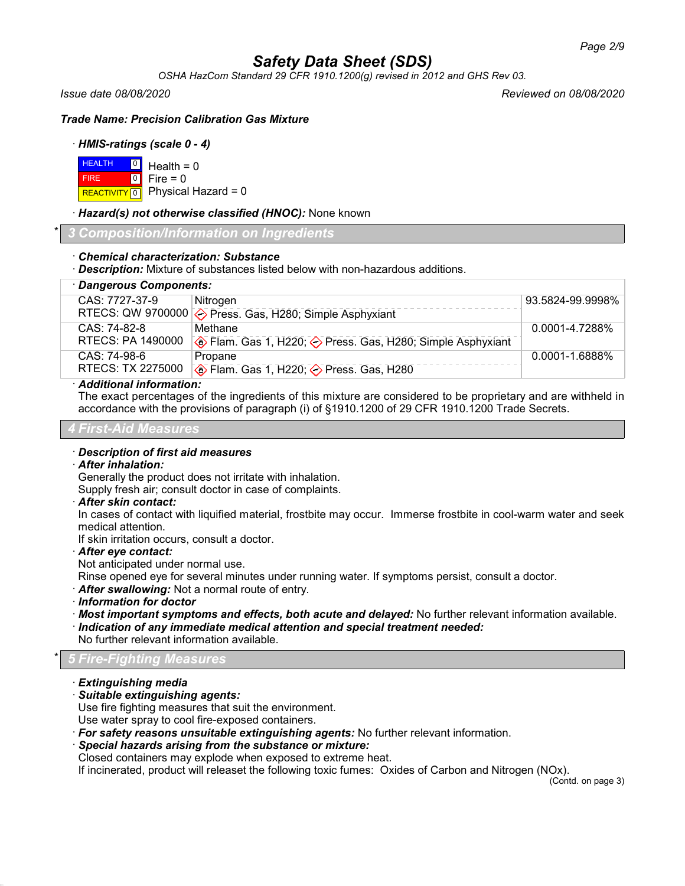*OSHA HazCom Standard 29 CFR 1910.1200(g) revised in 2012 and GHS Rev 03.*

*Issue date 08/08/2020 Reviewed on 08/08/2020*

*Trade Name: Precision Calibration Gas Mixture*

# · *HMIS-ratings (scale 0 - 4)*

| $H = 0$ Health = 0 |                                          |
|--------------------|------------------------------------------|
| <b>FIRE</b>        | $\blacksquare$ 0 $\blacksquare$ Fire = 0 |
|                    | REACTIVITY 0 Physical Hazard = 0         |

· *Hazard(s) not otherwise classified (HNOC):* None known

\* *3 Composition/Information on Ingredients*

# · *Chemical characterization: Substance*

· *Description:* Mixture of substances listed below with non-hazardous additions.

| · Dangerous Components: |                                                                  |                  |  |
|-------------------------|------------------------------------------------------------------|------------------|--|
| CAS: 7727-37-9          | Nitrogen                                                         | 93.5824-99.9998% |  |
|                         | RTECS: QW 9700000 $\diamond$ Press. Gas, H280; Simple Asphyxiant |                  |  |
| CAS: 74-82-8            | Methane                                                          | 0.0001-4.7288%   |  |
| RTECS: PA 1490000       | Elam. Gas 1, H220; < Press. Gas, H280; Simple Asphyxiant         |                  |  |
| CAS: 74-98-6            | Propane                                                          | 0.0001-1.6888%   |  |
| RTECS: TX 2275000       | <b>♦ Flam. Gas 1, H220; ♦ Press. Gas, H280</b>                   |                  |  |
|                         |                                                                  |                  |  |

# · *Additional information:*

The exact percentages of the ingredients of this mixture are considered to be proprietary and are withheld in accordance with the provisions of paragraph (i) of §1910.1200 of 29 CFR 1910.1200 Trade Secrets.

#### *4 First-Aid Measures*

#### · *Description of first aid measures*

#### · *After inhalation:*

Generally the product does not irritate with inhalation.

Supply fresh air; consult doctor in case of complaints.

#### · *After skin contact:*

In cases of contact with liquified material, frostbite may occur. Immerse frostbite in cool-warm water and seek medical attention.

If skin irritation occurs, consult a doctor.

- · *After eye contact:*
- Not anticipated under normal use.

Rinse opened eye for several minutes under running water. If symptoms persist, consult a doctor.

· *After swallowing:* Not a normal route of entry.

· *Information for doctor*

· *Most important symptoms and effects, both acute and delayed:* No further relevant information available. · *Indication of any immediate medical attention and special treatment needed:*

No further relevant information available.

# \* *5 Fire-Fighting Measures*

- · *Extinguishing media*
- · *Suitable extinguishing agents:*

Use fire fighting measures that suit the environment.

Use water spray to cool fire-exposed containers.

- · *For safety reasons unsuitable extinguishing agents:* No further relevant information.
- · *Special hazards arising from the substance or mixture:*

Closed containers may explode when exposed to extreme heat.

If incinerated, product will releaset the following toxic fumes: Oxides of Carbon and Nitrogen (NOx).

(Contd. on page 3)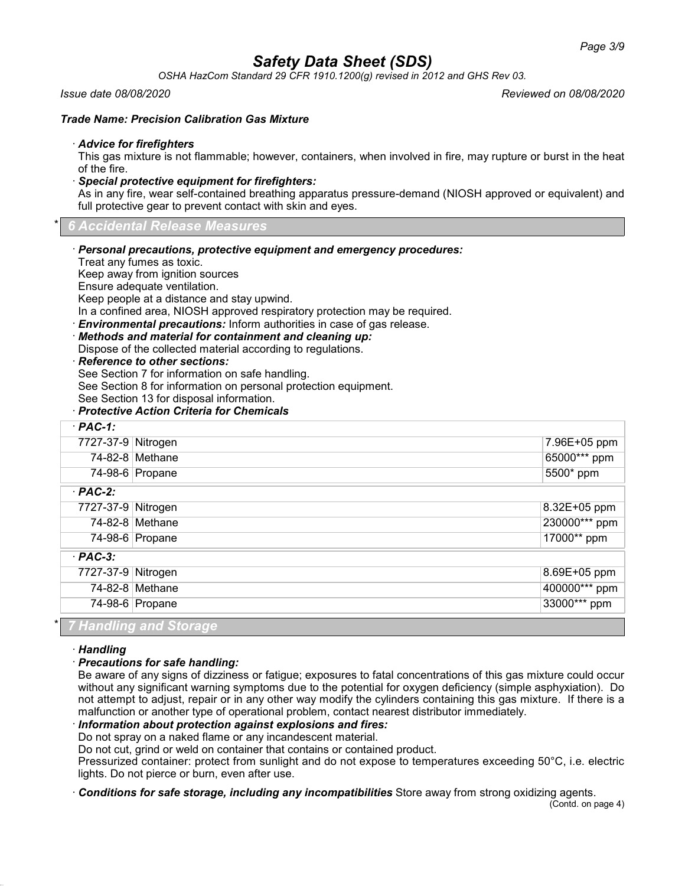*OSHA HazCom Standard 29 CFR 1910.1200(g) revised in 2012 and GHS Rev 03.*

#### *Issue date 08/08/2020 Reviewed on 08/08/2020*

#### *Trade Name: Precision Calibration Gas Mixture*

#### · *Advice for firefighters*

This gas mixture is not flammable; however, containers, when involved in fire, may rupture or burst in the heat of the fire.

#### · *Special protective equipment for firefighters:*

As in any fire, wear self-contained breathing apparatus pressure-demand (NIOSH approved or equivalent) and full protective gear to prevent contact with skin and eyes.

\* *6 Accidental Release Measures*

- · *Personal precautions, protective equipment and emergency procedures:*
- Treat any fumes as toxic.

Keep away from ignition sources

Ensure adequate ventilation.

Keep people at a distance and stay upwind.

In a confined area, NIOSH approved respiratory protection may be required.

· *Environmental precautions:* Inform authorities in case of gas release.

- · *Methods and material for containment and cleaning up:* Dispose of the collected material according to regulations.
- 

# · *Reference to other sections:*

See Section 7 for information on safe handling.

See Section 8 for information on personal protection equipment.

See Section 13 for disposal information.

#### · *Protective Action Criteria for Chemicals*

| $·$ PAC-1:         |                               |               |
|--------------------|-------------------------------|---------------|
| 7727-37-9 Nitrogen |                               | 7.96E+05 ppm  |
|                    | 74-82-8 Methane               | 65000*** ppm  |
|                    | 74-98-6 Propane               | 5500* ppm     |
| $·$ PAC-2:         |                               |               |
| 7727-37-9 Nitrogen |                               | 8.32E+05 ppm  |
|                    | 74-82-8 Methane               | 230000*** ppm |
|                    | 74-98-6 Propane               | 17000** ppm   |
| $·$ PAC-3:         |                               |               |
| 7727-37-9 Nitrogen |                               | 8.69E+05 ppm  |
|                    | 74-82-8 Methane               | 400000*** ppm |
|                    | 74-98-6 Propane               | 33000*** ppm  |
|                    | <b>7 Handling and Storage</b> |               |

#### · *Handling*

# · *Precautions for safe handling:*

Be aware of any signs of dizziness or fatigue; exposures to fatal concentrations of this gas mixture could occur without any significant warning symptoms due to the potential for oxygen deficiency (simple asphyxiation). Do not attempt to adjust, repair or in any other way modify the cylinders containing this gas mixture. If there is a malfunction or another type of operational problem, contact nearest distributor immediately.

# · *Information about protection against explosions and fires:*

Do not spray on a naked flame or any incandescent material.

Do not cut, grind or weld on container that contains or contained product.

Pressurized container: protect from sunlight and do not expose to temperatures exceeding 50°C, i.e. electric lights. Do not pierce or burn, even after use.

· *Conditions for safe storage, including any incompatibilities* Store away from strong oxidizing agents.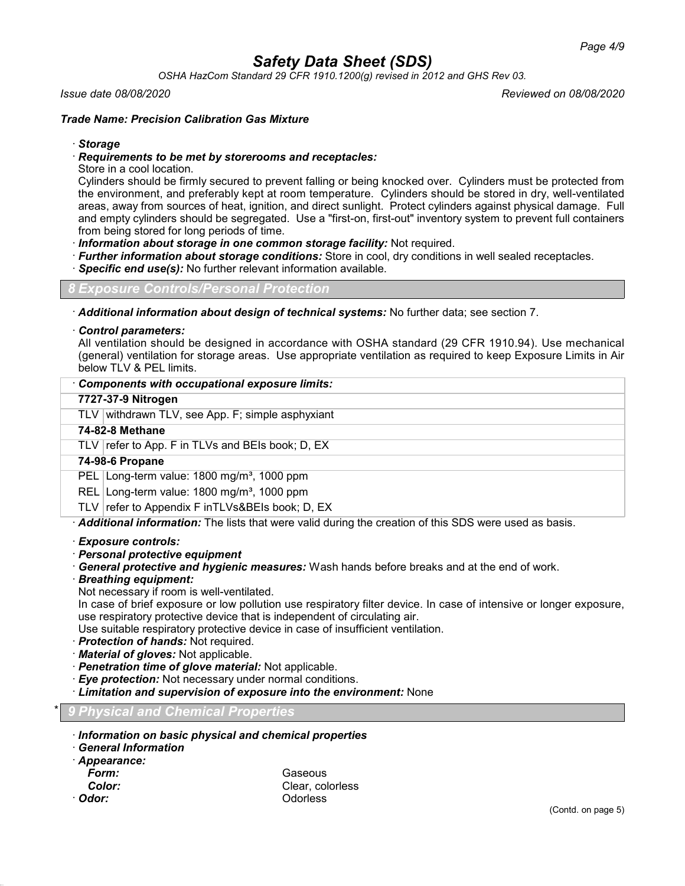*OSHA HazCom Standard 29 CFR 1910.1200(g) revised in 2012 and GHS Rev 03.*

#### *Issue date 08/08/2020 Reviewed on 08/08/2020*

# *Trade Name: Precision Calibration Gas Mixture*

#### · *Storage*

#### · *Requirements to be met by storerooms and receptacles:*

Store in a cool location.

Cylinders should be firmly secured to prevent falling or being knocked over. Cylinders must be protected from the environment, and preferably kept at room temperature. Cylinders should be stored in dry, well-ventilated areas, away from sources of heat, ignition, and direct sunlight. Protect cylinders against physical damage. Full and empty cylinders should be segregated. Use a "first-on, first-out" inventory system to prevent full containers from being stored for long periods of time.

· *Information about storage in one common storage facility:* Not required.

- · *Further information about storage conditions:* Store in cool, dry conditions in well sealed receptacles.
- **Specific end use(s):** No further relevant information available.

*8 Exposure Controls/Personal Protection*

· *Additional information about design of technical systems:* No further data; see section 7.

#### · *Control parameters:*

All ventilation should be designed in accordance with OSHA standard (29 CFR 1910.94). Use mechanical (general) ventilation for storage areas. Use appropriate ventilation as required to keep Exposure Limits in Air below TLV & PEL limits.

## · *Components with occupational exposure limits:*

# **7727-37-9 Nitrogen**

TLV withdrawn TLV, see App. F; simple asphyxiant

#### **74-82-8 Methane**

TLV  $\vert$  refer to App. F in TLVs and BEIs book; D, EX

#### **74-98-6 Propane**

PEL Long-term value: 1800 mg/m<sup>3</sup>, 1000 ppm

REL Long-term value: 1800 mg/m<sup>3</sup>, 1000 ppm

TLV  $\lvert$  refer to Appendix F inTLVs&BEIs book; D, EX

· *Additional information:* The lists that were valid during the creation of this SDS were used as basis.

#### · *Exposure controls:*

· *Personal protective equipment*

· *General protective and hygienic measures:* Wash hands before breaks and at the end of work.

· *Breathing equipment:*

Not necessary if room is well-ventilated.

In case of brief exposure or low pollution use respiratory filter device. In case of intensive or longer exposure, use respiratory protective device that is independent of circulating air.

Use suitable respiratory protective device in case of insufficient ventilation.

- · *Protection of hands:* Not required.
- · *Material of gloves:* Not applicable.
- · *Penetration time of glove material:* Not applicable.
- · *Eye protection:* Not necessary under normal conditions.
- · *Limitation and supervision of exposure into the environment:* None

# \* *9 Physical and Chemical Properties*

- · *Information on basic physical and chemical properties*
- · *General Information*
- · *Appearance:*

| Form:   | Gaseous<br>Clear, colorless |  |
|---------|-----------------------------|--|
| Color:  |                             |  |
| ∙ Odor∙ | Odorless                    |  |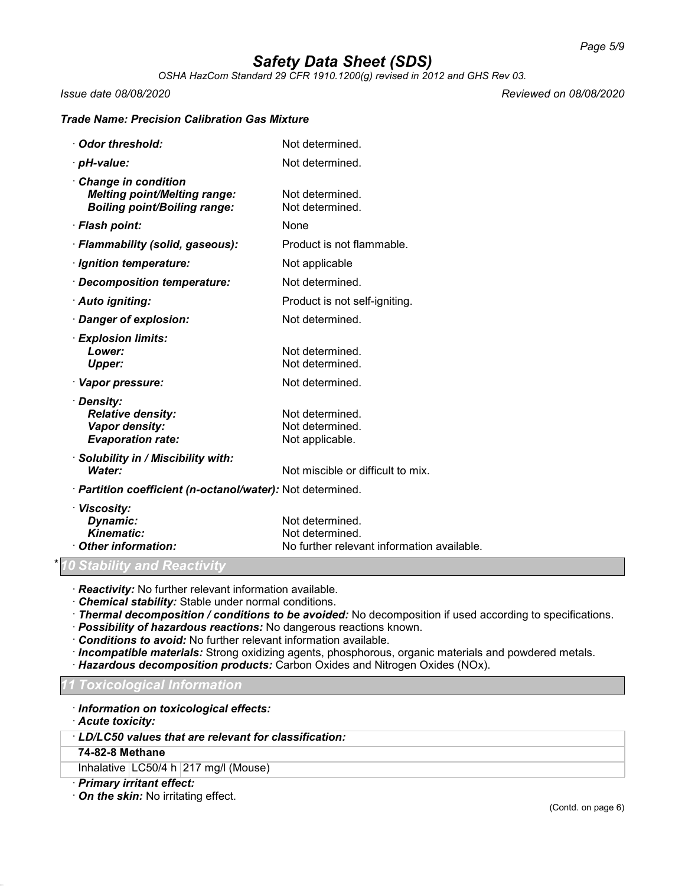*OSHA HazCom Standard 29 CFR 1910.1200(g) revised in 2012 and GHS Rev 03.*

*Issue date 08/08/2020 Reviewed on 08/08/2020*

# *Trade Name: Precision Calibration Gas Mixture*

| Odor threshold:                                                                                   | Not determined.                                                                  |
|---------------------------------------------------------------------------------------------------|----------------------------------------------------------------------------------|
| · pH-value:                                                                                       | Not determined.                                                                  |
| Change in condition<br><b>Melting point/Melting range:</b><br><b>Boiling point/Boiling range:</b> | Not determined.<br>Not determined.                                               |
| · Flash point:                                                                                    | None                                                                             |
| · Flammability (solid, gaseous):                                                                  | Product is not flammable.                                                        |
| · Ignition temperature:                                                                           | Not applicable                                                                   |
| Decomposition temperature:                                                                        | Not determined.                                                                  |
| · Auto igniting:                                                                                  | Product is not self-igniting.                                                    |
| Danger of explosion:                                                                              | Not determined.                                                                  |
| · Explosion limits:<br>Lower:<br><b>Upper:</b>                                                    | Not determined.<br>Not determined.                                               |
| · Vapor pressure:                                                                                 | Not determined.                                                                  |
| · Density:<br><b>Relative density:</b><br>Vapor density:<br><b>Evaporation rate:</b>              | Not determined.<br>Not determined.<br>Not applicable.                            |
| · Solubility in / Miscibility with:<br>Water:                                                     | Not miscible or difficult to mix.                                                |
| · Partition coefficient (n-octanol/water): Not determined.                                        |                                                                                  |
| · Viscosity:<br>Dynamic:<br><b>Kinematic:</b><br>Other information:                               | Not determined.<br>Not determined.<br>No further relevant information available. |

# *<u>Stability and Reactivity</u>*

· *Reactivity:* No further relevant information available.

· *Chemical stability:* Stable under normal conditions.

· *Thermal decomposition / conditions to be avoided:* No decomposition if used according to specifications.

· *Possibility of hazardous reactions:* No dangerous reactions known.

· *Conditions to avoid:* No further relevant information available.

· *Incompatible materials:* Strong oxidizing agents, phosphorous, organic materials and powdered metals.

· *Hazardous decomposition products:* Carbon Oxides and Nitrogen Oxides (NOx).

# *11 Toxicological Information*

· *Information on toxicological effects:*

· *Acute toxicity:*

## · *LD/LC50 values that are relevant for classification:*

#### **74-82-8 Methane**

Inhalative LC50/4 h 217 mg/l (Mouse)

· *Primary irritant effect:*

· *On the skin:* No irritating effect.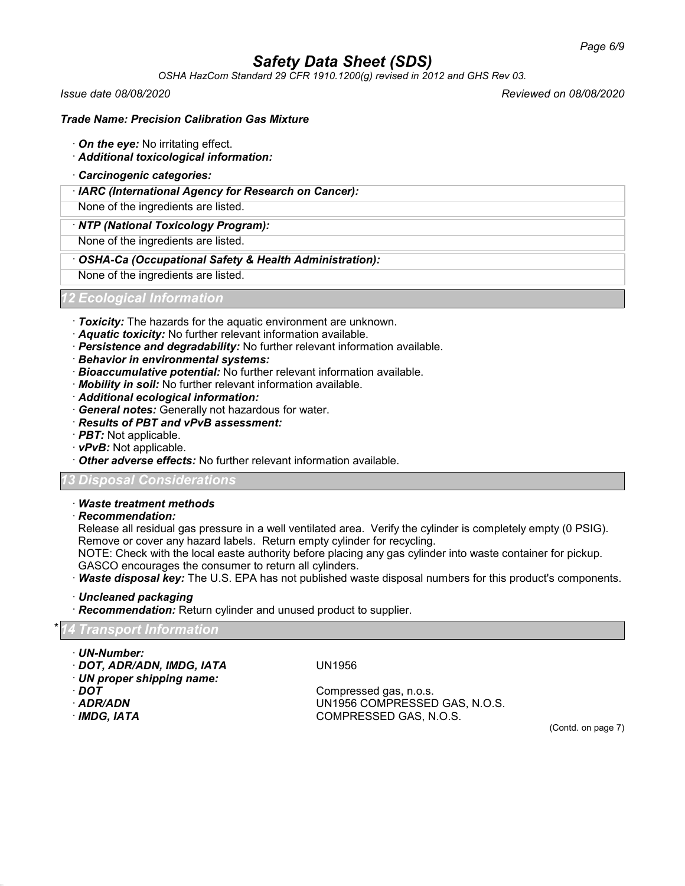*OSHA HazCom Standard 29 CFR 1910.1200(g) revised in 2012 and GHS Rev 03.*

*Issue date 08/08/2020 Reviewed on 08/08/2020*

### *Trade Name: Precision Calibration Gas Mixture*

- · *On the eye:* No irritating effect.
- · *Additional toxicological information:*
- · *Carcinogenic categories:*
- · *IARC (International Agency for Research on Cancer):*

None of the ingredients are listed.

· *NTP (National Toxicology Program):*

None of the ingredients are listed.

· *OSHA-Ca (Occupational Safety & Health Administration):*

None of the ingredients are listed.

# *12 Ecological Information*

- · *Toxicity:* The hazards for the aquatic environment are unknown.
- · *Aquatic toxicity:* No further relevant information available.
- · *Persistence and degradability:* No further relevant information available.
- · *Behavior in environmental systems:*
- · *Bioaccumulative potential:* No further relevant information available.
- · *Mobility in soil:* No further relevant information available.
- · *Additional ecological information:*
- · *General notes:* Generally not hazardous for water.
- · *Results of PBT and vPvB assessment:*
- · *PBT:* Not applicable.
- · *vPvB:* Not applicable.
- · *Other adverse effects:* No further relevant information available.

# *13 Disposal Considerations*

# · *Waste treatment methods*

· *Recommendation:*

Release all residual gas pressure in a well ventilated area. Verify the cylinder is completely empty (0 PSIG). Remove or cover any hazard labels. Return empty cylinder for recycling.

NOTE: Check with the local easte authority before placing any gas cylinder into waste container for pickup. GASCO encourages the consumer to return all cylinders.

· *Waste disposal key:* The U.S. EPA has not published waste disposal numbers for this product's components.

· *Uncleaned packaging*

· *Recommendation:* Return cylinder and unused product to supplier.

# \* *14 Transport Information*

- · *UN-Number:*
- · *DOT, ADR/ADN, IMDG, IATA* UN1956
- · *UN proper shipping name:*
- 
- 
- 

· *DOT* Compressed gas, n.o.s. · *ADR/ADN* UN1956 COMPRESSED GAS, N.O.S. COMPRESSED GAS, N.O.S.

(Contd. on page 7)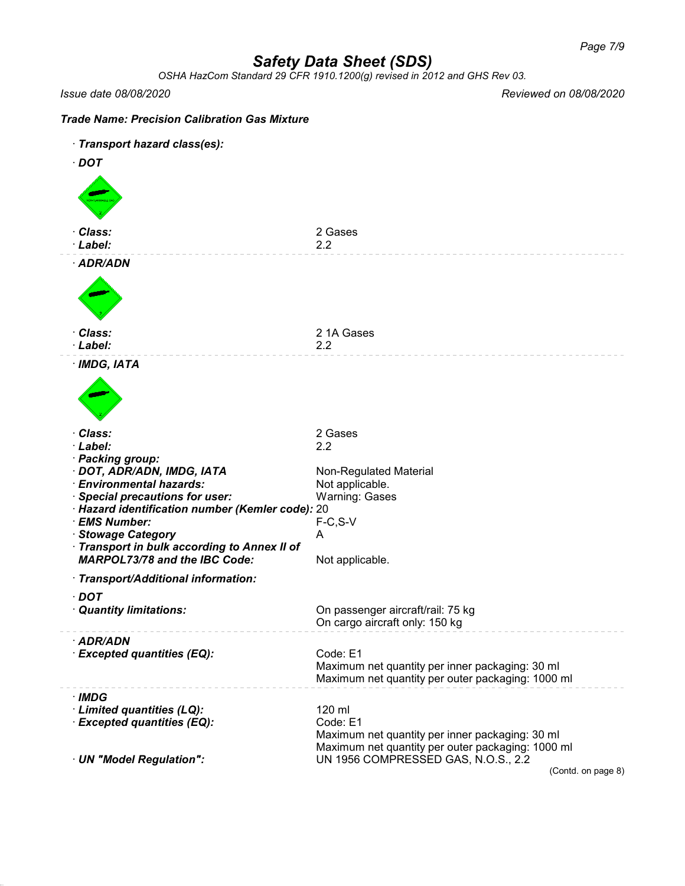*OSHA HazCom Standard 29 CFR 1910.1200(g) revised in 2012 and GHS Rev 03.*

*Issue date 08/08/2020 Reviewed on 08/08/2020*

# *Trade Name: Precision Calibration Gas Mixture* · *Transport hazard class(es):*

| Transport nazard class(es):                                                        |                                                                                          |
|------------------------------------------------------------------------------------|------------------------------------------------------------------------------------------|
| $\cdot$ DOT                                                                        |                                                                                          |
|                                                                                    |                                                                                          |
|                                                                                    |                                                                                          |
|                                                                                    |                                                                                          |
|                                                                                    |                                                                                          |
|                                                                                    |                                                                                          |
| · Class:                                                                           | 2 Gases                                                                                  |
| · Label:                                                                           | 2.2                                                                                      |
| · ADR/ADN                                                                          |                                                                                          |
|                                                                                    |                                                                                          |
|                                                                                    |                                                                                          |
|                                                                                    |                                                                                          |
|                                                                                    |                                                                                          |
|                                                                                    |                                                                                          |
| · Class:                                                                           | 21A Gases                                                                                |
| · Label:                                                                           | 2.2                                                                                      |
|                                                                                    |                                                                                          |
| · IMDG, IATA                                                                       |                                                                                          |
|                                                                                    |                                                                                          |
|                                                                                    |                                                                                          |
|                                                                                    |                                                                                          |
|                                                                                    |                                                                                          |
| · Class:                                                                           | 2 Gases                                                                                  |
| · Label:                                                                           | 2.2                                                                                      |
| · Packing group:                                                                   |                                                                                          |
| · DOT, ADR/ADN, IMDG, IATA                                                         | Non-Regulated Material                                                                   |
| · Environmental hazards:                                                           | Not applicable.                                                                          |
| · Special precautions for user:                                                    | <b>Warning: Gases</b>                                                                    |
| · Hazard identification number (Kemler code): 20                                   |                                                                                          |
| · EMS Number:                                                                      | $F-C, S-V$                                                                               |
|                                                                                    |                                                                                          |
| · Stowage Category                                                                 | A                                                                                        |
| Transport in bulk according to Annex II of<br><b>MARPOL73/78 and the IBC Code:</b> |                                                                                          |
|                                                                                    | Not applicable.                                                                          |
| · Transport/Additional information:                                                |                                                                                          |
| $\cdot$ DOT                                                                        |                                                                                          |
|                                                                                    |                                                                                          |
| · Quantity limitations:                                                            | On passenger aircraft/rail: 75 kg<br>On cargo aircraft only: 150 kg                      |
|                                                                                    |                                                                                          |
| · ADR/ADN                                                                          |                                                                                          |
| <b>Excepted quantities (EQ):</b>                                                   | Code: E1                                                                                 |
|                                                                                    | Maximum net quantity per inner packaging: 30 ml                                          |
|                                                                                    | Maximum net quantity per outer packaging: 1000 ml                                        |
| · IMDG                                                                             |                                                                                          |
|                                                                                    | 120 ml                                                                                   |
| · Limited quantities (LQ):<br>· Excepted quantities (EQ):                          | Code: E1                                                                                 |
|                                                                                    |                                                                                          |
|                                                                                    | Maximum net quantity per inner packaging: 30 ml                                          |
|                                                                                    | Maximum net quantity per outer packaging: 1000 ml<br>UN 1956 COMPRESSED GAS, N.O.S., 2.2 |
| · UN "Model Regulation":                                                           | (Contd. on page 8)                                                                       |
|                                                                                    |                                                                                          |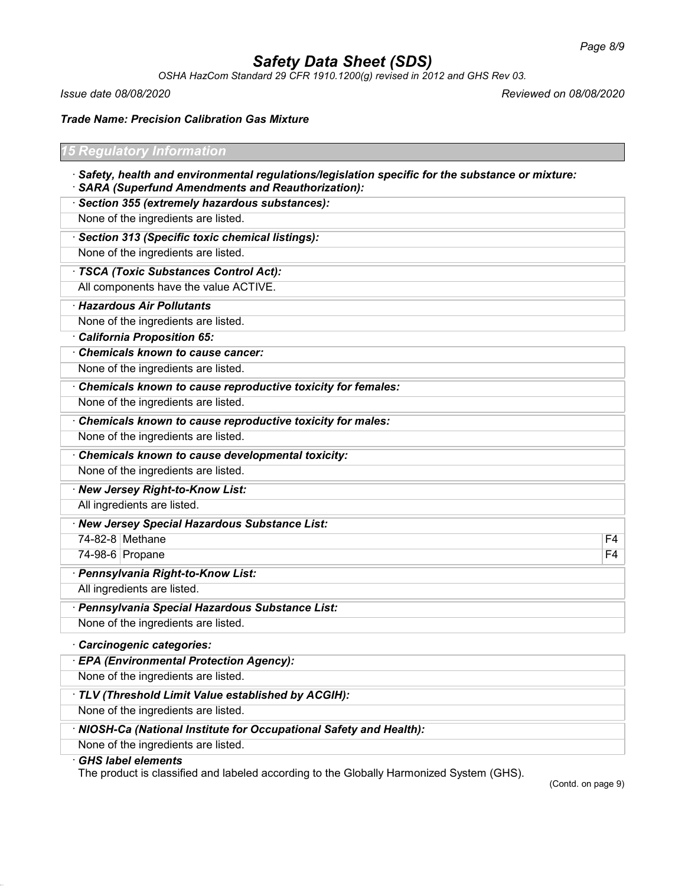*OSHA HazCom Standard 29 CFR 1910.1200(g) revised in 2012 and GHS Rev 03.*

*Issue date 08/08/2020 Reviewed on 08/08/2020*

*Trade Name: Precision Calibration Gas Mixture*

| <b>15 Regulatory Information</b>                                                                                                                        |                |
|---------------------------------------------------------------------------------------------------------------------------------------------------------|----------------|
| · Safety, health and environmental regulations/legislation specific for the substance or mixture:<br>· SARA (Superfund Amendments and Reauthorization): |                |
| · Section 355 (extremely hazardous substances):                                                                                                         |                |
| None of the ingredients are listed.                                                                                                                     |                |
| · Section 313 (Specific toxic chemical listings):                                                                                                       |                |
| None of the ingredients are listed.                                                                                                                     |                |
| · TSCA (Toxic Substances Control Act):                                                                                                                  |                |
| All components have the value ACTIVE.                                                                                                                   |                |
| · Hazardous Air Pollutants                                                                                                                              |                |
| None of the ingredients are listed.                                                                                                                     |                |
| California Proposition 65:                                                                                                                              |                |
| Chemicals known to cause cancer:                                                                                                                        |                |
| None of the ingredients are listed.                                                                                                                     |                |
| Chemicals known to cause reproductive toxicity for females:                                                                                             |                |
| None of the ingredients are listed.                                                                                                                     |                |
| Chemicals known to cause reproductive toxicity for males:                                                                                               |                |
| None of the ingredients are listed.                                                                                                                     |                |
| Chemicals known to cause developmental toxicity:                                                                                                        |                |
| None of the ingredients are listed.                                                                                                                     |                |
| · New Jersey Right-to-Know List:                                                                                                                        |                |
| All ingredients are listed.                                                                                                                             |                |
| · New Jersey Special Hazardous Substance List:                                                                                                          |                |
| 74-82-8 Methane                                                                                                                                         | F4             |
| 74-98-6 Propane                                                                                                                                         | F <sub>4</sub> |
| · Pennsylvania Right-to-Know List:                                                                                                                      |                |
| All ingredients are listed.                                                                                                                             |                |
| · Pennsylvania Special Hazardous Substance List:                                                                                                        |                |
| None of the ingredients are listed.                                                                                                                     |                |
| Carcinogenic categories:                                                                                                                                |                |
| · EPA (Environmental Protection Agency):                                                                                                                |                |
| None of the ingredients are listed.                                                                                                                     |                |
| · TLV (Threshold Limit Value established by ACGIH):                                                                                                     |                |
| None of the ingredients are listed.                                                                                                                     |                |
| · NIOSH-Ca (National Institute for Occupational Safety and Health):                                                                                     |                |
| None of the ingredients are listed.                                                                                                                     |                |
| $CUC$ $l$ chal alamanta                                                                                                                                 |                |

# · *GHS label elements*

The product is classified and labeled according to the Globally Harmonized System (GHS).